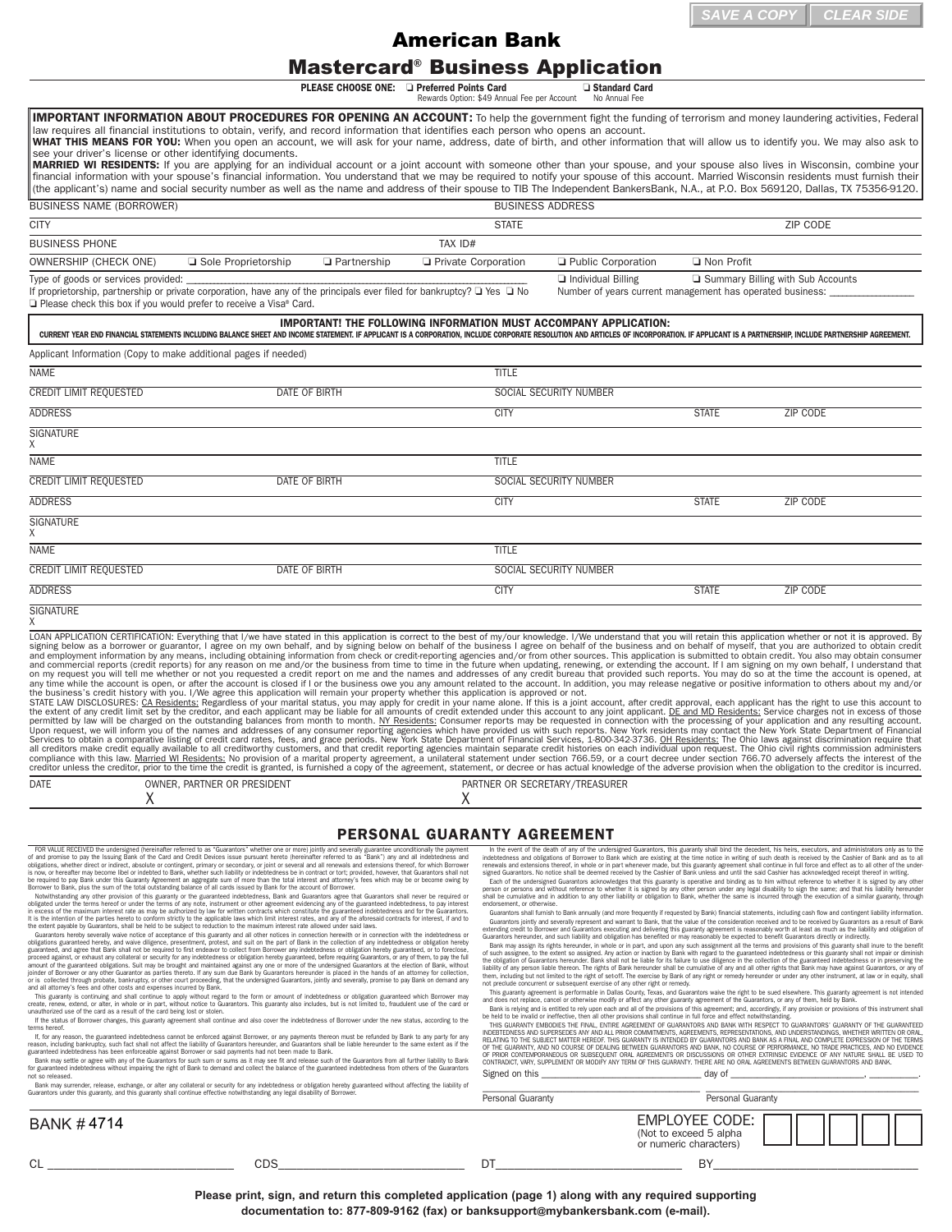## Mastercard® Business Application

**PLEASE CHOOSE ONE:**  $\Box$  **Preferred Points Card**  $\Box$  **Standard Card**<br>Rewards Option: \$49 Annual Fee per Account Mo Annual Fee

**BUSINESS NAME (BORROWER)** BUSINESS ADDRESS ADDRESS CITY STATE STATE STATE STATE STATE STATE STATE STATE STATE STATE STATE STATE STATE STATE STATE STATE STATE STATE STATE STATE STATE STATE STATE STATE STATE STATE STATE STATE STATE STATE STATE STATE STATE STATE STATE STATE S BUSINESS PHONE TAX ID: OWNERSHIP (CHECK ONE) **a** Sole Proprietorship **o Partnership o Private Corporation o Public Corporation o Non Profit** Type of goods or services provided: \_\_\_\_\_\_\_\_\_\_\_\_\_\_\_\_\_\_\_\_\_\_\_\_\_\_\_\_\_\_\_\_\_\_\_\_\_\_\_\_\_\_\_\_\_\_\_\_\_\_\_\_\_\_\_\_\_\_\_\_\_\_\_\_\_\_\_\_\_\_\_\_\_\_\_\_\_\_\_\_\_\_\_\_\_\_\_\_\_\_\_ o Individual Billing o Summary Billing with Sub Accounts If proprietorship, partnership or private corporation, have any of the principals ever filed for bankruptcy?  $\Box$  Yes  $\Box$  No □ Please check this box if you would prefer to receive a Visa® Card. Applicant Information (Copy to make additional pages if needed) NAME TITLE THE STATE OF THE STATE OF THE STATE OF THE STATE OF THE STATE OF THE STATE OF THE STATE OF THE STATE OF THE STATE OF THE STATE OF THE STATE OF THE STATE OF THE STATE OF THE STATE OF THE STATE OF THE STATE OF THE CREDIT LIMIT REQUESTED **DATE OF BIRTH SOCIAL SECURITY NUMBER** SOCIAL SECURITY NUMBER ADDRESS CITY STATE ZIP CODE **SIGNATURE** X NAME TITLE THE STATE OF THE STATE OF THE STATE OF THE STATE OF THE STATE OF THE STATE OF THE STATE OF THE STATE OF THE STATE OF THE STATE OF THE STATE OF THE STATE OF THE STATE OF THE STATE OF THE STATE OF THE STATE OF THE CREDIT LIMIT REQUESTED DATE OF BIRTH SOCIAL SECURITY NUMBER ADDRESS CITY STATE ZIP CODE SIGNATURE X NAME TITLE THE STATE OF THE STATE OF THE STATE OF THE STATE OF THE STATE OF THE STATE OF THE STATE OF THE STATE OF THE STATE OF THE STATE OF THE STATE OF THE STATE OF THE STATE OF THE STATE OF THE STATE OF THE STATE OF THE CREDIT LIMIT REQUESTED DATE OF BIRTH SOCIAL SECURITY NUMBER ADDRESS CITY STATE ZIP CODE **SIGNATURE** X LOAN APPLICATION CERTIFICATION: Everything that I/we have stated in this application is correct to the best of my/our knowledge. I/We understand that you will retain this application whether or not it is approved. By signing below as a borrower or guarantor, I agree on my own behalf, and by signing below on behalf of the business I agree on behalf of the business and on behalf of myself, that you are authorized to obtain credit ending any time while the account is open, or after the account is closed if I or the business owe you any amount related to the account. In addition, you may release negative or positive information to others about my and/or<br>the all creditors make credit equally available to all creditworthy customers, and that credit reporting agencies maintain separate credit histories on each individual upon request. The Ohio civil rights commission administers DATE OWNER, PARTNER OR PRESIDENT PARTNER OR SECRETARY/TREASURER  $\chi$   $\chi$ **IMPORTANT! THE FOLLOWING INFORMATION MUST ACCOMPANY APPLICATION:** CURRENT YEAR END FINANCIAL STATEMENTS INCLUDING BALANCE SHEET AND INCOME STATEMENT. IF APPLICANT IS A CORPORATION, INCLUDE CORPORATE RESOLUTION AND ARTICLES OF INCORPORATION. IF APPLICANT IS A PARTNERSHIP. INCLUDE PARTNERS IMPORTANT INFORMATION ABOUT PROCEDURES FOR OPENING AN ACCOUNT: To help the government fight the funding of terrorism and money laundering activities, Federal law requires all financial institutions to obtain, verify, and record information that identifies each person who opens an account. WHAT THIS MEANS FOR YOU: When you open an account, we will ask for your name, address, date of birth, and other information that will allow us to identify you. We may also ask to see your driver's license or other identifying documents. MARRIED WI RESIDENTS: If you are applying for an individual account or a joint account with someone other than your spouse, and your spouse also lives in Wisconsin, combine your financial information with your spouse's financial information. You understand that we may be required to notify your spouse of this account. Married Wisconsin residents must furnish their (the applicant's) name and social security number as well as the name and address of their spouse to TIB The Independent BankersBank, N.A., at P.O. Box 569120, Dallas, TX 75356-9120. **documentation to: 877-809-9162 (fax) or banksupport@mybankersbank.com (fax) or banksupport@mybankersbank.com (fax) or banksupport of the continent of the continent of the continent of the continent of the continent of the** 

## **PERSONAL GUARANTY AGREEMENT**

FOR VALUE RECEVED the undersigned (hereinater referred to as "Guarantos" whether one or more) jointly and severally guaranteed unconditionally the payment of the Card and Credit Devices issue pursuant hereto (hereinater re

Guarantors hereby severally wake notice of acceptance of this guaranty and all other notices in connection herewith or in connection with the indebtedness or obligation hereby and wake nulleance, presentment, protest, and

If the status of Borrower changes, this guaranty agreement shall continue and also cover the indebtedness of Borrower under the new status, according to the

terms hereof.<br>If, for any reason, the guaranteed indebtedness cannot be enforced against Borrower, or any payments thereon must be refunded by Bank to any party for any activity for any activity of any party for any activi

Bank may settle or agree with any of the Guarantors for such sum or sums as it may see fit and release such of the Guarantors from all further liability to Bank<br>for guaranteed indebtedness without impairing the right of Ba Bank may surrender, release, exchange, or alter any collateral or security for any indebtedness or obligation hereby guaranteed without affecting the liability of

In the event of the death of any of the undersigned Guarantors, this guaranty shall bind the decodent, his heirs, executors, and administrators only as to be<br>indebtedness and obligations of Borower to Bank which are evisti

Guarantors shall furnish to Bank annually (and more frequently if requested by Bank) financial statements, including cash flow and contingent liability infor

Guarantors jointly and severally represent and warrant to Bank, that the value of the consideration received and to be received by Guarantors as a result of Bank extending credit to Borrower and Guarantors executing and delivering this guaranty agreement is reasonably worth at least as much as the liability and obligation of<br>Guarantors hereunder, and such liability and obligation h

Bank may assign its rights hereunder, in whole or in part, and upon any such assignment all the terms and provisions of this guaranteed independent and the ment of the stemether of the extent so assigned. Any action or ina

This guaranty agreement is performable in Dallas County, Texas, and Guarantors waive the right to be sued elsewhere. This guaranty agreement is not intended<br>and does not replace, cancel or otherwise modify or affect any ot

Bank is relying and is entitled to rely upon each and all of the provisions of this agreement; and, accordingly, if any provision or provisions of this instrument shall<br>be held to be invalid or ineffective, then all other THIS GUARANTY EMBODIES THE FINAL, ENTIRE AGREEMENT OF GUARANTORS AND BANK WITH RESPECT TO GUARANTORS' GUARANTY OF THE GUARANTEED<br>INDERTEDNESS AND SUPERSEDES ANY AND ALL PRIOR COMMITMENTS. AGREEMENTS. REPRESENTATIONS. AND U relating to the subject matter hereof. This glaranty is intended by glarantors and bank as a final and complete expression of the terms.<br>Of the glaranty, and no course of dealing between glarantors and bank, no course of p

| Danik may surrender, release, exchange, or alter any conateral or security for any indeptedness or obligation nereby guaranteed without arrecting the hability or<br>Guarantors under this guaranty, and this guaranty shall continue effective notwithstanding any legal disability of Borrower. |     | Personal Guaranty | Personal Guaranty                                                          |  |  |
|---------------------------------------------------------------------------------------------------------------------------------------------------------------------------------------------------------------------------------------------------------------------------------------------------|-----|-------------------|----------------------------------------------------------------------------|--|--|
| <b>BANK #4714</b>                                                                                                                                                                                                                                                                                 |     |                   | <b>EMPLOYEE CODE:</b><br>(Not to exceed 5 alpha)<br>or numeric characters) |  |  |
| $\sim$<br>◡└                                                                                                                                                                                                                                                                                      | CDS | DΊ                | DV.                                                                        |  |  |

**Please print, sign, and return this completed application (page 1) along with any required supporting**